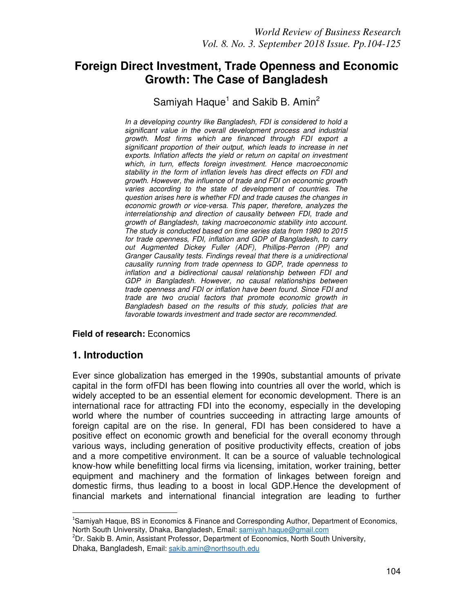# **Foreign Direct Investment, Trade Openness and Economic Growth: The Case of Bangladesh**

# Samiyah Haque<sup>1</sup> and Sakib B. Amin<sup>2</sup>

*In a developing country like Bangladesh, FDI is considered to hold a significant value in the overall development process and industrial growth. Most firms which are financed through FDI export a significant proportion of their output, which leads to increase in net exports. Inflation affects the yield or return on capital on investment which, in turn, effects foreign investment. Hence macroeconomic stability in the form of inflation levels has direct effects on FDI and growth. However, the influence of trade and FDI on economic growth varies according to the state of development of countries. The question arises here is whether FDI and trade causes the changes in economic growth or vice-versa. This paper, therefore, analyzes the interrelationship and direction of causality between FDI, trade and growth of Bangladesh, taking macroeconomic stability into account. The study is conducted based on time series data from 1980 to 2015 for trade openness, FDI, inflation and GDP of Bangladesh, to carry out Augmented Dickey Fuller (ADF), Phillips-Perron (PP) and Granger Causality tests. Findings reveal that there is a unidirectional causality running from trade openness to GDP, trade openness to inflation and a bidirectional causal relationship between FDI and GDP in Bangladesh. However, no causal relationships between trade openness and FDI or inflation have been found. Since FDI and trade are two crucial factors that promote economic growth in Bangladesh based on the results of this study, policies that are favorable towards investment and trade sector are recommended.*

#### **Field of research:** Economics

### **1. Introduction**

 $\overline{a}$ 

Ever since globalization has emerged in the 1990s, substantial amounts of private capital in the form ofFDI has been flowing into countries all over the world, which is widely accepted to be an essential element for economic development. There is an international race for attracting FDI into the economy, especially in the developing world where the number of countries succeeding in attracting large amounts of foreign capital are on the rise. In general, FDI has been considered to have a positive effect on economic growth and beneficial for the overall economy through various ways, including generation of positive productivity effects, creation of jobs and a more competitive environment. It can be a source of valuable technological know-how while benefitting local firms via licensing, imitation, worker training, better equipment and machinery and the formation of linkages between foreign and domestic firms, thus leading to a boost in local GDP.Hence the development of financial markets and international financial integration are leading to further

<sup>&</sup>lt;sup>1</sup>Samivah Haque, BS in Economics & Finance and Corresponding Author, Department of Economics, North South University, Dhaka, Bangladesh, Email: samiyah.haque@gmail.com

<sup>&</sup>lt;sup>2</sup>Dr. Sakib B. Amin, Assistant Professor, Department of Economics, North South University, Dhaka, Bangladesh, Email: sakib.amin@northsouth.edu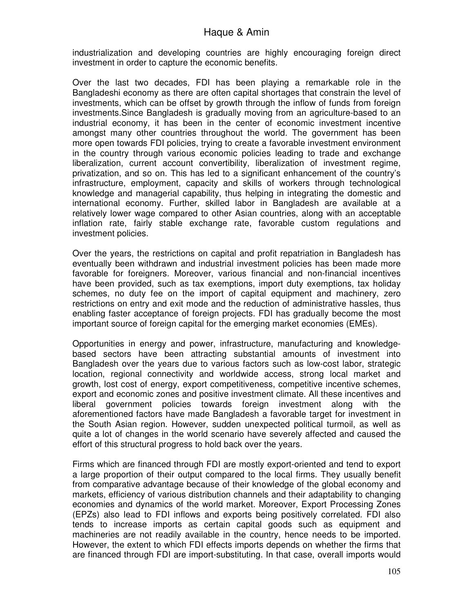industrialization and developing countries are highly encouraging foreign direct investment in order to capture the economic benefits.

Over the last two decades, FDI has been playing a remarkable role in the Bangladeshi economy as there are often capital shortages that constrain the level of investments, which can be offset by growth through the inflow of funds from foreign investments.Since Bangladesh is gradually moving from an agriculture-based to an industrial economy, it has been in the center of economic investment incentive amongst many other countries throughout the world. The government has been more open towards FDI policies, trying to create a favorable investment environment in the country through various economic policies leading to trade and exchange liberalization, current account convertibility, liberalization of investment regime, privatization, and so on. This has led to a significant enhancement of the country's infrastructure, employment, capacity and skills of workers through technological knowledge and managerial capability, thus helping in integrating the domestic and international economy. Further, skilled labor in Bangladesh are available at a relatively lower wage compared to other Asian countries, along with an acceptable inflation rate, fairly stable exchange rate, favorable custom regulations and investment policies.

Over the years, the restrictions on capital and profit repatriation in Bangladesh has eventually been withdrawn and industrial investment policies has been made more favorable for foreigners. Moreover, various financial and non-financial incentives have been provided, such as tax exemptions, import duty exemptions, tax holiday schemes, no duty fee on the import of capital equipment and machinery, zero restrictions on entry and exit mode and the reduction of administrative hassles, thus enabling faster acceptance of foreign projects. FDI has gradually become the most important source of foreign capital for the emerging market economies (EMEs).

Opportunities in energy and power, infrastructure, manufacturing and knowledgebased sectors have been attracting substantial amounts of investment into Bangladesh over the years due to various factors such as low-cost labor, strategic location, regional connectivity and worldwide access, strong local market and growth, lost cost of energy, export competitiveness, competitive incentive schemes, export and economic zones and positive investment climate. All these incentives and liberal government policies towards foreign investment along with the aforementioned factors have made Bangladesh a favorable target for investment in the South Asian region. However, sudden unexpected political turmoil, as well as quite a lot of changes in the world scenario have severely affected and caused the effort of this structural progress to hold back over the years.

Firms which are financed through FDI are mostly export-oriented and tend to export a large proportion of their output compared to the local firms. They usually benefit from comparative advantage because of their knowledge of the global economy and markets, efficiency of various distribution channels and their adaptability to changing economies and dynamics of the world market. Moreover, Export Processing Zones (EPZs) also lead to FDI inflows and exports being positively correlated. FDI also tends to increase imports as certain capital goods such as equipment and machineries are not readily available in the country, hence needs to be imported. However, the extent to which FDI effects imports depends on whether the firms that are financed through FDI are import-substituting. In that case, overall imports would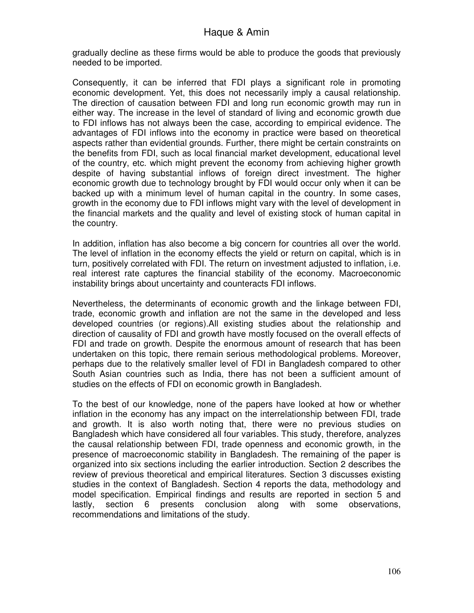gradually decline as these firms would be able to produce the goods that previously needed to be imported.

Consequently, it can be inferred that FDI plays a significant role in promoting economic development. Yet, this does not necessarily imply a causal relationship. The direction of causation between FDI and long run economic growth may run in either way. The increase in the level of standard of living and economic growth due to FDI inflows has not always been the case, according to empirical evidence. The advantages of FDI inflows into the economy in practice were based on theoretical aspects rather than evidential grounds. Further, there might be certain constraints on the benefits from FDI, such as local financial market development, educational level of the country, etc. which might prevent the economy from achieving higher growth despite of having substantial inflows of foreign direct investment. The higher economic growth due to technology brought by FDI would occur only when it can be backed up with a minimum level of human capital in the country. In some cases, growth in the economy due to FDI inflows might vary with the level of development in the financial markets and the quality and level of existing stock of human capital in the country.

In addition, inflation has also become a big concern for countries all over the world. The level of inflation in the economy effects the yield or return on capital, which is in turn, positively correlated with FDI. The return on investment adjusted to inflation, i.e. real interest rate captures the financial stability of the economy. Macroeconomic instability brings about uncertainty and counteracts FDI inflows.

Nevertheless, the determinants of economic growth and the linkage between FDI, trade, economic growth and inflation are not the same in the developed and less developed countries (or regions).All existing studies about the relationship and direction of causality of FDI and growth have mostly focused on the overall effects of FDI and trade on growth. Despite the enormous amount of research that has been undertaken on this topic, there remain serious methodological problems. Moreover, perhaps due to the relatively smaller level of FDI in Bangladesh compared to other South Asian countries such as India, there has not been a sufficient amount of studies on the effects of FDI on economic growth in Bangladesh.

To the best of our knowledge, none of the papers have looked at how or whether inflation in the economy has any impact on the interrelationship between FDI, trade and growth. It is also worth noting that, there were no previous studies on Bangladesh which have considered all four variables. This study, therefore, analyzes the causal relationship between FDI, trade openness and economic growth, in the presence of macroeconomic stability in Bangladesh. The remaining of the paper is organized into six sections including the earlier introduction. Section 2 describes the review of previous theoretical and empirical literatures. Section 3 discusses existing studies in the context of Bangladesh. Section 4 reports the data, methodology and model specification. Empirical findings and results are reported in section 5 and lastly, section 6 presents conclusion along with some observations, recommendations and limitations of the study.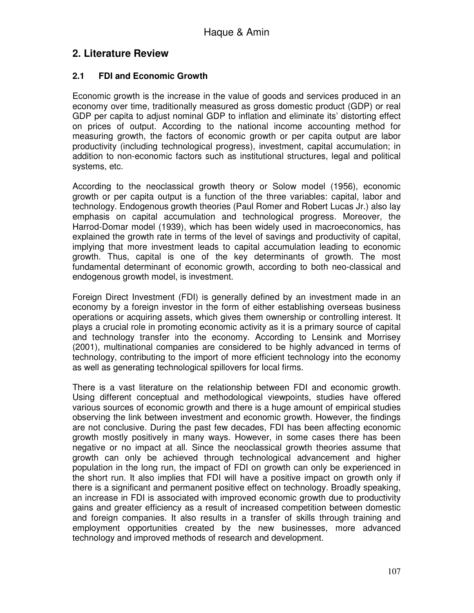## **2. Literature Review**

#### **2.1 FDI and Economic Growth**

Economic growth is the increase in the value of goods and services produced in an economy over time, traditionally measured as gross domestic product (GDP) or real GDP per capita to adjust nominal GDP to inflation and eliminate its' distorting effect on prices of output. According to the national income accounting method for measuring growth, the factors of economic growth or per capita output are labor productivity (including technological progress), investment, capital accumulation; in addition to non-economic factors such as institutional structures, legal and political systems, etc.

According to the neoclassical growth theory or Solow model (1956), economic growth or per capita output is a function of the three variables: capital, labor and technology. Endogenous growth theories (Paul Romer and Robert Lucas Jr.) also lay emphasis on capital accumulation and technological progress. Moreover, the Harrod-Domar model (1939), which has been widely used in macroeconomics, has explained the growth rate in terms of the level of savings and productivity of capital, implying that more investment leads to capital accumulation leading to economic growth. Thus, capital is one of the key determinants of growth. The most fundamental determinant of economic growth, according to both neo-classical and endogenous growth model, is investment.

Foreign Direct Investment (FDI) is generally defined by an investment made in an economy by a foreign investor in the form of either establishing overseas business operations or acquiring assets, which gives them ownership or controlling interest. It plays a crucial role in promoting economic activity as it is a primary source of capital and technology transfer into the economy. According to Lensink and Morrisey (2001), multinational companies are considered to be highly advanced in terms of technology, contributing to the import of more efficient technology into the economy as well as generating technological spillovers for local firms.

There is a vast literature on the relationship between FDI and economic growth. Using different conceptual and methodological viewpoints, studies have offered various sources of economic growth and there is a huge amount of empirical studies observing the link between investment and economic growth. However, the findings are not conclusive. During the past few decades, FDI has been affecting economic growth mostly positively in many ways. However, in some cases there has been negative or no impact at all. Since the neoclassical growth theories assume that growth can only be achieved through technological advancement and higher population in the long run, the impact of FDI on growth can only be experienced in the short run. It also implies that FDI will have a positive impact on growth only if there is a significant and permanent positive effect on technology. Broadly speaking, an increase in FDI is associated with improved economic growth due to productivity gains and greater efficiency as a result of increased competition between domestic and foreign companies. It also results in a transfer of skills through training and employment opportunities created by the new businesses, more advanced technology and improved methods of research and development.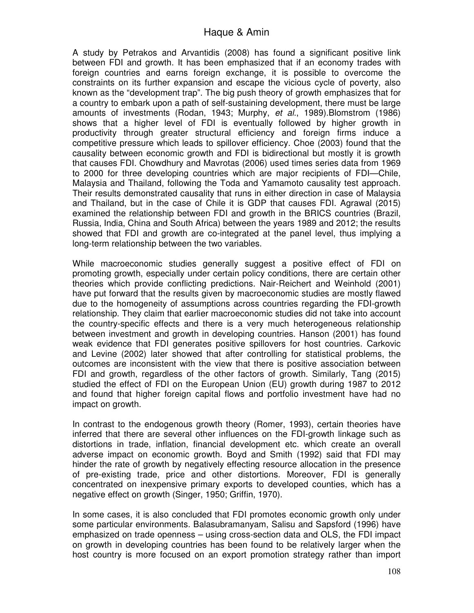A study by Petrakos and Arvantidis (2008) has found a significant positive link between FDI and growth. It has been emphasized that if an economy trades with foreign countries and earns foreign exchange, it is possible to overcome the constraints on its further expansion and escape the vicious cycle of poverty, also known as the "development trap". The big push theory of growth emphasizes that for a country to embark upon a path of self-sustaining development, there must be large amounts of investments (Rodan, 1943; Murphy, *et al*., 1989).Blomstrom (1986) shows that a higher level of FDI is eventually followed by higher growth in productivity through greater structural efficiency and foreign firms induce a competitive pressure which leads to spillover efficiency. Choe (2003) found that the causality between economic growth and FDI is bidirectional but mostly it is growth that causes FDI. Chowdhury and Mavrotas (2006) used times series data from 1969 to 2000 for three developing countries which are major recipients of FDI—Chile, Malaysia and Thailand, following the Toda and Yamamoto causality test approach. Their results demonstrated causality that runs in either direction in case of Malaysia and Thailand, but in the case of Chile it is GDP that causes FDI. Agrawal (2015) examined the relationship between FDI and growth in the BRICS countries (Brazil, Russia, India, China and South Africa) between the years 1989 and 2012; the results showed that FDI and growth are co-integrated at the panel level, thus implying a long-term relationship between the two variables.

While macroeconomic studies generally suggest a positive effect of FDI on promoting growth, especially under certain policy conditions, there are certain other theories which provide conflicting predictions. Nair-Reichert and Weinhold (2001) have put forward that the results given by macroeconomic studies are mostly flawed due to the homogeneity of assumptions across countries regarding the FDI-growth relationship. They claim that earlier macroeconomic studies did not take into account the country-specific effects and there is a very much heterogeneous relationship between investment and growth in developing countries. Hanson (2001) has found weak evidence that FDI generates positive spillovers for host countries. Carkovic and Levine (2002) later showed that after controlling for statistical problems, the outcomes are inconsistent with the view that there is positive association between FDI and growth, regardless of the other factors of growth. Similarly, Tang (2015) studied the effect of FDI on the European Union (EU) growth during 1987 to 2012 and found that higher foreign capital flows and portfolio investment have had no impact on growth.

In contrast to the endogenous growth theory (Romer, 1993), certain theories have inferred that there are several other influences on the FDI-growth linkage such as distortions in trade, inflation, financial development etc. which create an overall adverse impact on economic growth. Boyd and Smith (1992) said that FDI may hinder the rate of growth by negatively effecting resource allocation in the presence of pre-existing trade, price and other distortions. Moreover, FDI is generally concentrated on inexpensive primary exports to developed counties, which has a negative effect on growth (Singer, 1950; Griffin, 1970).

In some cases, it is also concluded that FDI promotes economic growth only under some particular environments. Balasubramanyam, Salisu and Sapsford (1996) have emphasized on trade openness – using cross-section data and OLS, the FDI impact on growth in developing countries has been found to be relatively larger when the host country is more focused on an export promotion strategy rather than import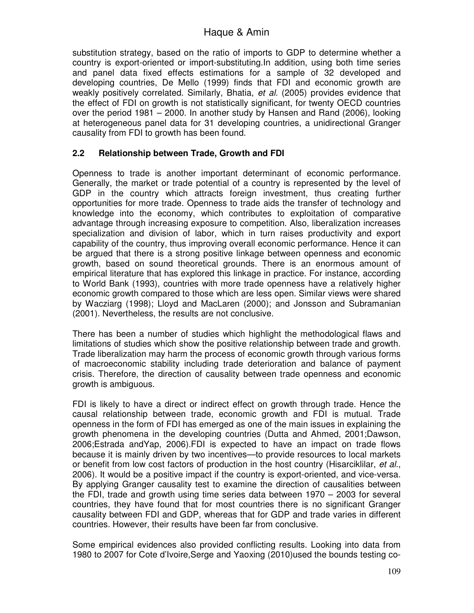substitution strategy, based on the ratio of imports to GDP to determine whether a country is export-oriented or import-substituting.In addition, using both time series and panel data fixed effects estimations for a sample of 32 developed and developing countries, De Mello (1999) finds that FDI and economic growth are weakly positively correlated. Similarly, Bhatia, *et al.* (2005) provides evidence that the effect of FDI on growth is not statistically significant, for twenty OECD countries over the period 1981 – 2000. In another study by Hansen and Rand (2006), looking at heterogeneous panel data for 31 developing countries, a unidirectional Granger causality from FDI to growth has been found.

#### **2.2 Relationship between Trade, Growth and FDI**

Openness to trade is another important determinant of economic performance. Generally, the market or trade potential of a country is represented by the level of GDP in the country which attracts foreign investment, thus creating further opportunities for more trade. Openness to trade aids the transfer of technology and knowledge into the economy, which contributes to exploitation of comparative advantage through increasing exposure to competition. Also, liberalization increases specialization and division of labor, which in turn raises productivity and export capability of the country, thus improving overall economic performance. Hence it can be argued that there is a strong positive linkage between openness and economic growth, based on sound theoretical grounds. There is an enormous amount of empirical literature that has explored this linkage in practice. For instance, according to World Bank (1993), countries with more trade openness have a relatively higher economic growth compared to those which are less open. Similar views were shared by Wacziarg (1998); Lloyd and MacLaren (2000); and Jonsson and Subramanian (2001). Nevertheless, the results are not conclusive.

There has been a number of studies which highlight the methodological flaws and limitations of studies which show the positive relationship between trade and growth. Trade liberalization may harm the process of economic growth through various forms of macroeconomic stability including trade deterioration and balance of payment crisis. Therefore, the direction of causality between trade openness and economic growth is ambiguous.

FDI is likely to have a direct or indirect effect on growth through trade. Hence the causal relationship between trade, economic growth and FDI is mutual. Trade openness in the form of FDI has emerged as one of the main issues in explaining the growth phenomena in the developing countries (Dutta and Ahmed, 2001;Dawson, 2006;Estrada andYap, 2006).FDI is expected to have an impact on trade flows because it is mainly driven by two incentives—to provide resources to local markets or benefit from low cost factors of production in the host country (Hisarciklilar, *et al.*, 2006). It would be a positive impact if the country is export-oriented, and vice-versa. By applying Granger causality test to examine the direction of causalities between the FDI, trade and growth using time series data between 1970 – 2003 for several countries, they have found that for most countries there is no significant Granger causality between FDI and GDP, whereas that for GDP and trade varies in different countries. However, their results have been far from conclusive.

Some empirical evidences also provided conflicting results. Looking into data from 1980 to 2007 for Cote d'Ivoire,Serge and Yaoxing (2010)used the bounds testing co-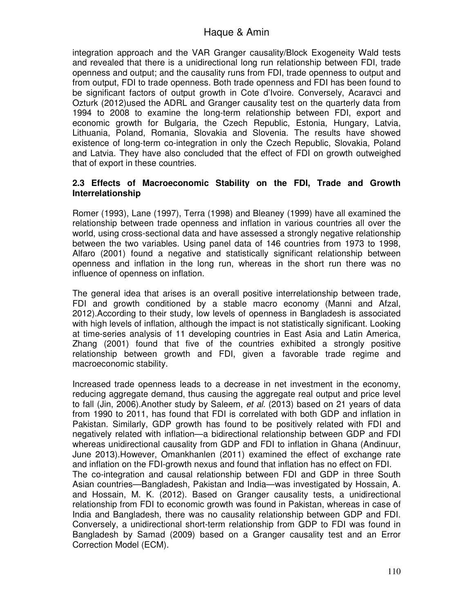integration approach and the VAR Granger causality/Block Exogeneity Wald tests and revealed that there is a unidirectional long run relationship between FDI, trade openness and output; and the causality runs from FDI, trade openness to output and from output, FDI to trade openness. Both trade openness and FDI has been found to be significant factors of output growth in Cote d'Ivoire. Conversely, Acaravci and Ozturk (2012)used the ADRL and Granger causality test on the quarterly data from 1994 to 2008 to examine the long-term relationship between FDI, export and economic growth for Bulgaria, the Czech Republic, Estonia, Hungary, Latvia, Lithuania, Poland, Romania, Slovakia and Slovenia. The results have showed existence of long-term co-integration in only the Czech Republic, Slovakia, Poland and Latvia. They have also concluded that the effect of FDI on growth outweighed that of export in these countries.

#### **2.3 Effects of Macroeconomic Stability on the FDI, Trade and Growth Interrelationship**

Romer (1993), Lane (1997), Terra (1998) and Bleaney (1999) have all examined the relationship between trade openness and inflation in various countries all over the world, using cross-sectional data and have assessed a strongly negative relationship between the two variables. Using panel data of 146 countries from 1973 to 1998, Alfaro (2001) found a negative and statistically significant relationship between openness and inflation in the long run, whereas in the short run there was no influence of openness on inflation.

The general idea that arises is an overall positive interrelationship between trade, FDI and growth conditioned by a stable macro economy (Manni and Afzal, 2012).According to their study, low levels of openness in Bangladesh is associated with high levels of inflation, although the impact is not statistically significant. Looking at time-series analysis of 11 developing countries in East Asia and Latin America, Zhang (2001) found that five of the countries exhibited a strongly positive relationship between growth and FDI, given a favorable trade regime and macroeconomic stability.

Increased trade openness leads to a decrease in net investment in the economy, reducing aggregate demand, thus causing the aggregate real output and price level to fall (Jin, 2006).Another study by Saleem, *et al.* (2013) based on 21 years of data from 1990 to 2011, has found that FDI is correlated with both GDP and inflation in Pakistan. Similarly, GDP growth has found to be positively related with FDI and negatively related with inflation—a bidirectional relationship between GDP and FDI whereas unidirectional causality from GDP and FDI to inflation in Ghana (Andinuur, June 2013).However, Omankhanlen (2011) examined the effect of exchange rate and inflation on the FDI-growth nexus and found that inflation has no effect on FDI. The co-integration and causal relationship between FDI and GDP in three South Asian countries—Bangladesh, Pakistan and India—was investigated by Hossain, A. and Hossain, M. K. (2012). Based on Granger causality tests, a unidirectional relationship from FDI to economic growth was found in Pakistan, whereas in case of India and Bangladesh, there was no causality relationship between GDP and FDI. Conversely, a unidirectional short-term relationship from GDP to FDI was found in Bangladesh by Samad (2009) based on a Granger causality test and an Error Correction Model (ECM).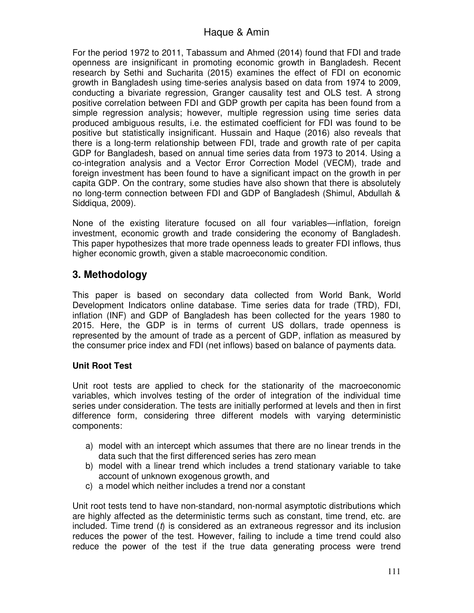For the period 1972 to 2011, Tabassum and Ahmed (2014) found that FDI and trade openness are insignificant in promoting economic growth in Bangladesh. Recent research by Sethi and Sucharita (2015) examines the effect of FDI on economic growth in Bangladesh using time-series analysis based on data from 1974 to 2009, conducting a bivariate regression, Granger causality test and OLS test. A strong positive correlation between FDI and GDP growth per capita has been found from a simple regression analysis; however, multiple regression using time series data produced ambiguous results, i.e. the estimated coefficient for FDI was found to be positive but statistically insignificant. Hussain and Haque (2016) also reveals that there is a long-term relationship between FDI, trade and growth rate of per capita GDP for Bangladesh, based on annual time series data from 1973 to 2014. Using a co-integration analysis and a Vector Error Correction Model (VECM), trade and foreign investment has been found to have a significant impact on the growth in per capita GDP. On the contrary, some studies have also shown that there is absolutely no long-term connection between FDI and GDP of Bangladesh (Shimul, Abdullah & Siddiqua, 2009).

None of the existing literature focused on all four variables—inflation, foreign investment, economic growth and trade considering the economy of Bangladesh. This paper hypothesizes that more trade openness leads to greater FDI inflows, thus higher economic growth, given a stable macroeconomic condition.

# **3. Methodology**

This paper is based on secondary data collected from World Bank, World Development Indicators online database. Time series data for trade (TRD), FDI, inflation (INF) and GDP of Bangladesh has been collected for the years 1980 to 2015. Here, the GDP is in terms of current US dollars, trade openness is represented by the amount of trade as a percent of GDP, inflation as measured by the consumer price index and FDI (net inflows) based on balance of payments data.

### **Unit Root Test**

Unit root tests are applied to check for the stationarity of the macroeconomic variables, which involves testing of the order of integration of the individual time series under consideration. The tests are initially performed at levels and then in first difference form, considering three different models with varying deterministic components:

- a) model with an intercept which assumes that there are no linear trends in the data such that the first differenced series has zero mean
- b) model with a linear trend which includes a trend stationary variable to take account of unknown exogenous growth, and
- c) a model which neither includes a trend nor a constant

Unit root tests tend to have non-standard, non-normal asymptotic distributions which are highly affected as the deterministic terms such as constant, time trend, etc. are included. Time trend (*t*) is considered as an extraneous regressor and its inclusion reduces the power of the test. However, failing to include a time trend could also reduce the power of the test if the true data generating process were trend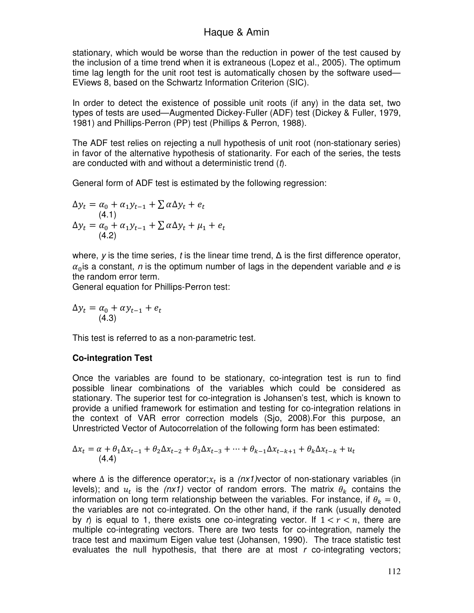stationary, which would be worse than the reduction in power of the test caused by the inclusion of a time trend when it is extraneous (Lopez et al., 2005). The optimum time lag length for the unit root test is automatically chosen by the software used— EViews 8, based on the Schwartz Information Criterion (SIC).

In order to detect the existence of possible unit roots (if any) in the data set, two types of tests are used—Augmented Dickey-Fuller (ADF) test (Dickey & Fuller, 1979, 1981) and Phillips-Perron (PP) test (Phillips & Perron, 1988).

The ADF test relies on rejecting a null hypothesis of unit root (non-stationary series) in favor of the alternative hypothesis of stationarity. For each of the series, the tests are conducted with and without a deterministic trend (*t*).

General form of ADF test is estimated by the following regression:

$$
\Delta y_t = \alpha_0 + \alpha_1 y_{t-1} + \sum \alpha \Delta y_t + e_t
$$
  
(4.1)  

$$
\Delta y_t = \alpha_0 + \alpha_1 y_{t-1} + \sum \alpha \Delta y_t + \mu_1 + e_t
$$
  
(4.2)

where, *y* is the time series, *t* is the linear time trend, ∆ is the first difference operator,  $\alpha_0$  is a constant, *n* is the optimum number of lags in the dependent variable and *e* is the random error term.

General equation for Phillips-Perron test:

$$
\Delta y_t = \alpha_0 + \alpha y_{t-1} + e_t
$$
  
(4.3)

This test is referred to as a non-parametric test.

#### **Co-integration Test**

Once the variables are found to be stationary, co-integration test is run to find possible linear combinations of the variables which could be considered as stationary. The superior test for co-integration is Johansen's test, which is known to provide a unified framework for estimation and testing for co-integration relations in the context of VAR error correction models (Sjo, 2008).For this purpose, an Unrestricted Vector of Autocorrelation of the following form has been estimated:

$$
\Delta x_t = \alpha + \theta_1 \Delta x_{t-1} + \theta_2 \Delta x_{t-2} + \theta_3 \Delta x_{t-3} + \dots + \theta_{k-1} \Delta x_{t-k+1} + \theta_k \Delta x_{t-k} + u_t
$$
\n(4.4)

where ∆ is the difference operator;x<sub>t</sub> is a *(nx1)*vector of non-stationary variables (in levels); and  $u_t$  is the *(nx1)* vector of random errors. The matrix  $\theta_k$  contains the information on long term relationship between the variables. For instance, if  $\theta_k = 0$ , the variables are not co-integrated. On the other hand, if the rank (usually denoted by *r*) is equal to 1, there exists one co-integrating vector. If  $1 < r < n$ , there are multiple co-integrating vectors. There are two tests for co-integration, namely the trace test and maximum Eigen value test (Johansen, 1990). The trace statistic test evaluates the null hypothesis, that there are at most *r* co-integrating vectors;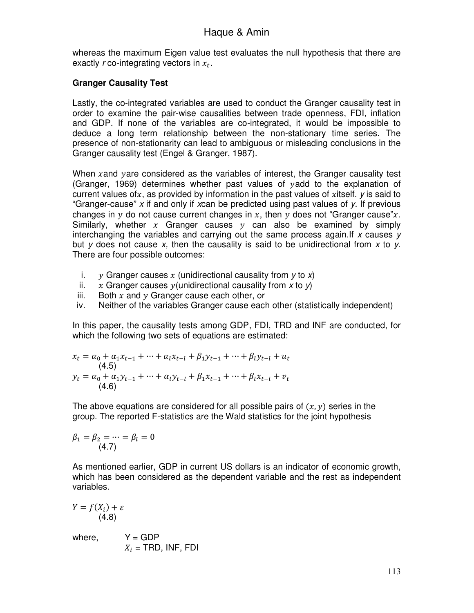whereas the maximum Eigen value test evaluates the null hypothesis that there are exactly  $r$  co-integrating vectors in  $x_t$ .

#### **Granger Causality Test**

Lastly, the co-integrated variables are used to conduct the Granger causality test in order to examine the pair-wise causalities between trade openness, FDI, inflation and GDP. If none of the variables are co-integrated, it would be impossible to deduce a long term relationship between the non-stationary time series. The presence of non-stationarity can lead to ambiguous or misleading conclusions in the Granger causality test (Engel & Granger, 1987).

When  $x$  and  $y$  are considered as the variables of interest, the Granger causality test (Granger, 1969) determines whether past values of  $y$  add to the explanation of current values of x, as provided by information in the past values of xitself.  $\gamma$  is said to "Granger-cause" *x* if and only if *x*can be predicted using past values of *y*. If previous changes in y do not cause current changes in x, then y does not "Granger cause"x. Similarly, whether  $x$  Granger causes  $y$  can also be examined by simply interchanging the variables and carrying out the same process again.If *x* causes *y* but *y* does not cause *x,* then the causality is said to be unidirectional from *x* to *y*. There are four possible outcomes:

- i. -Granger causes (unidirectional causality from *y* to *x*)
- ii.  $x$  Granger causes  $y$  (unidirectional causality from  $x$  to  $y$ )
- iii. Both  $x$  and  $y$  Granger cause each other, or
- iv. Neither of the variables Granger cause each other (statistically independent)

In this paper, the causality tests among GDP, FDI, TRD and INF are conducted, for which the following two sets of equations are estimated:

$$
x_{t} = \alpha_{0} + \alpha_{1}x_{t-1} + \dots + \alpha_{l}x_{t-l} + \beta_{1}y_{t-1} + \dots + \beta_{l}y_{t-l} + u_{t}
$$
  
(4.5)  

$$
y_{t} = \alpha_{0} + \alpha_{1}y_{t-1} + \dots + \alpha_{l}y_{t-l} + \beta_{1}x_{t-1} + \dots + \beta_{l}x_{t-l} + v_{t}
$$
  
(4.6)

The above equations are considered for all possible pairs of  $(x, y)$  series in the group. The reported F-statistics are the Wald statistics for the joint hypothesis

$$
\beta_1 = \beta_2 = \dots = \beta_l = 0
$$
  
(4.7)

As mentioned earlier, GDP in current US dollars is an indicator of economic growth, which has been considered as the dependent variable and the rest as independent variables.

$$
Y = f(X_i) + \varepsilon
$$
  
(4.8)

where,  $Y = GDP$  $X_i$  = TRD, INF, FDI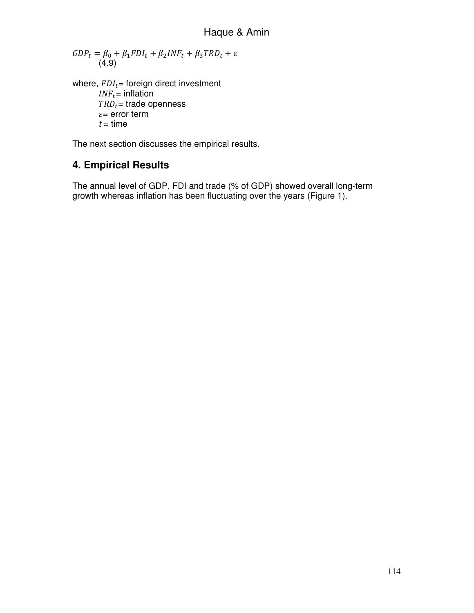$\label{eq:GDP} GDP_t = \beta_0 + \beta_1 FDI_t + \beta_2 INF_t + \beta_3 TRD_t + \varepsilon$ (4.9)

where,  $FDI_t =$  foreign direct investment  $INF_t =$  inflation  $TRD_t =$  trade openness  $\varepsilon$ = error term  $t =$  time

The next section discusses the empirical results.

# **4. Empirical Results**

The annual level of GDP, FDI and trade (% of GDP) showed overall long-term growth whereas inflation has been fluctuating over the years (Figure 1).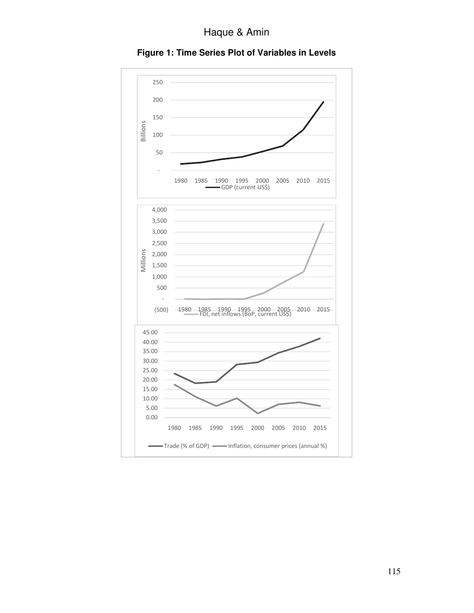Haque & Amin



**Figure 1: Time Series Plot of Variables in Levels**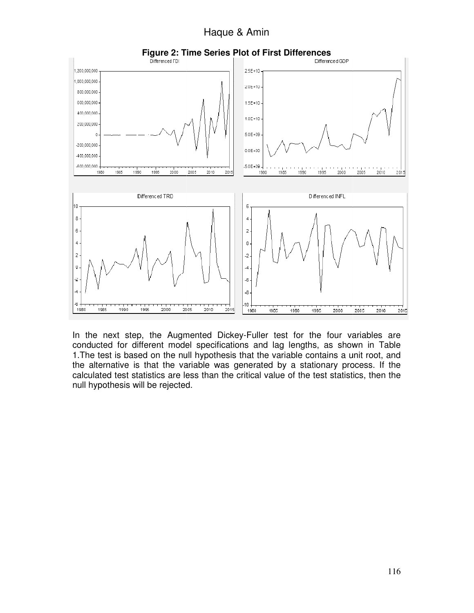Haque & Amin



In the next step, the Augmented Dickey-Fuller test for the four variables are conducted for different model specifications and lag lengths, as shown in Table 1. The test is based on the null hypothesis that the variable contains a unit root, and the alternative is that the variable was generated by a stationary process. If the the alternative is that the variable was generated by a stationary process. If the<br>calculated test statistics are less than the critical value of the test statistics, then the null hypothesis will be rejected. gmented Dickey-Fuller test for the four variables are<br>del specifications and lag lengths, as shown in Table<br>null hypothesis that the variable contains a unit root, and<br>variable was generated by a stationary process. If the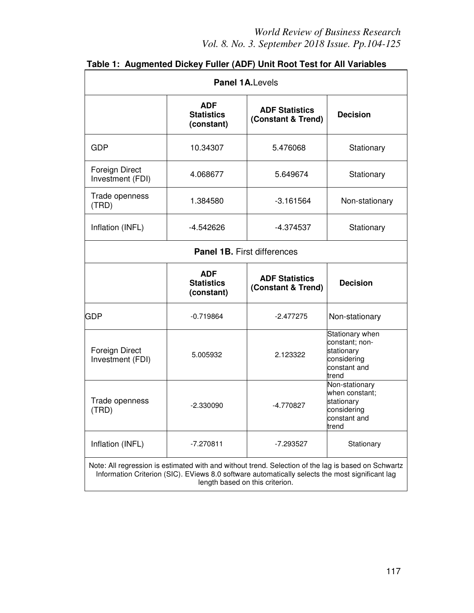| <b>Panel 1A. Levels</b>                                                                                                                                                                                                                   |                                               |                                             |                                                                                         |  |
|-------------------------------------------------------------------------------------------------------------------------------------------------------------------------------------------------------------------------------------------|-----------------------------------------------|---------------------------------------------|-----------------------------------------------------------------------------------------|--|
|                                                                                                                                                                                                                                           | <b>ADF</b><br><b>Statistics</b><br>(constant) | <b>ADF Statistics</b><br>(Constant & Trend) | <b>Decision</b>                                                                         |  |
| GDP                                                                                                                                                                                                                                       | 10.34307                                      | 5.476068                                    | Stationary                                                                              |  |
| Foreign Direct<br>Investment (FDI)                                                                                                                                                                                                        | 4.068677                                      | 5.649674                                    | Stationary                                                                              |  |
| Trade openness<br>(TRD)                                                                                                                                                                                                                   | 1.384580                                      | $-3.161564$                                 | Non-stationary                                                                          |  |
| Inflation (INFL)                                                                                                                                                                                                                          | -4.542626                                     | -4.374537                                   | Stationary                                                                              |  |
| <b>Panel 1B.</b> First differences                                                                                                                                                                                                        |                                               |                                             |                                                                                         |  |
|                                                                                                                                                                                                                                           | <b>ADF</b><br><b>Statistics</b><br>(constant) | <b>ADF Statistics</b><br>(Constant & Trend) | <b>Decision</b>                                                                         |  |
| <b>GDP</b>                                                                                                                                                                                                                                | $-0.719864$                                   | $-2.477275$                                 | Non-stationary                                                                          |  |
| Foreign Direct<br>Investment (FDI)                                                                                                                                                                                                        | 5.005932                                      | 2.123322                                    | Stationary when<br>constant; non-<br>stationary<br>considering<br>constant and<br>trend |  |
| Trade openness<br>(TRD)                                                                                                                                                                                                                   | $-2.330090$                                   | $-4.770827$                                 | Non-stationary<br>when constant:<br>stationary<br>considering<br>constant and<br>trend  |  |
| Inflation (INFL)                                                                                                                                                                                                                          | $-7.270811$                                   | -7.293527                                   | Stationary                                                                              |  |
| Note: All regression is estimated with and without trend. Selection of the lag is based on Schwartz<br>Information Criterion (SIC). EViews 8.0 software automatically selects the most significant lag<br>length based on this criterion. |                                               |                                             |                                                                                         |  |

# **Table 1: Augmented Dickey Fuller (ADF) Unit Root Test for All Variables**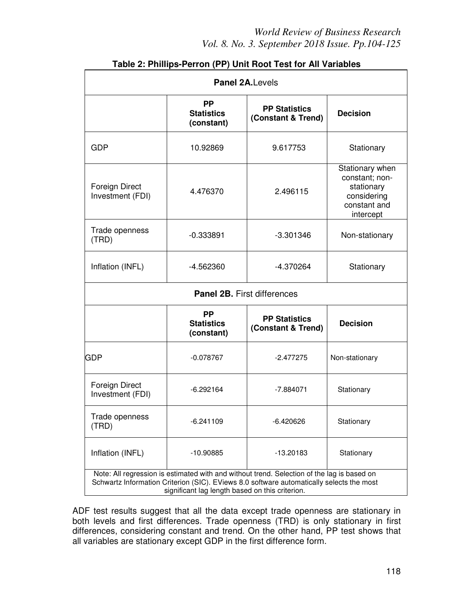## *World Review of Business Research Vol. 8. No. 3. September 2018 Issue. Pp.104-125*

| <b>Panel 2A.Levels</b>                                                                                                                                                                                                                    |                                              |                                            |                                                                                             |  |
|-------------------------------------------------------------------------------------------------------------------------------------------------------------------------------------------------------------------------------------------|----------------------------------------------|--------------------------------------------|---------------------------------------------------------------------------------------------|--|
|                                                                                                                                                                                                                                           | <b>PP</b><br><b>Statistics</b><br>(constant) | <b>PP Statistics</b><br>(Constant & Trend) | <b>Decision</b>                                                                             |  |
| <b>GDP</b>                                                                                                                                                                                                                                | 10.92869                                     | 9.617753                                   | Stationary                                                                                  |  |
| Foreign Direct<br>Investment (FDI)                                                                                                                                                                                                        | 4.476370                                     | 2.496115                                   | Stationary when<br>constant; non-<br>stationary<br>considering<br>constant and<br>intercept |  |
| Trade openness<br>(TRD)                                                                                                                                                                                                                   | $-0.333891$                                  | $-3.301346$                                | Non-stationary                                                                              |  |
| Inflation (INFL)                                                                                                                                                                                                                          | $-4.562360$                                  | $-4.370264$                                | Stationary                                                                                  |  |
| Panel 2B. First differences                                                                                                                                                                                                               |                                              |                                            |                                                                                             |  |
|                                                                                                                                                                                                                                           | <b>PP</b><br><b>Statistics</b><br>(constant) | <b>PP Statistics</b><br>(Constant & Trend) | <b>Decision</b>                                                                             |  |
| <b>GDP</b>                                                                                                                                                                                                                                | $-0.078767$                                  | $-2.477275$                                | Non-stationary                                                                              |  |
| Foreign Direct<br>Investment (FDI)                                                                                                                                                                                                        | $-6.292164$                                  | Stationary<br>$-7.884071$                  |                                                                                             |  |
| Trade openness<br>(TRD)                                                                                                                                                                                                                   | $-6.241109$                                  | $-6.420626$                                | Stationary                                                                                  |  |
| Inflation (INFL)                                                                                                                                                                                                                          | $-10.90885$                                  | $-13.20183$<br>Stationary                  |                                                                                             |  |
| Note: All regression is estimated with and without trend. Selection of the lag is based on<br>Schwartz Information Criterion (SIC). EViews 8.0 software automatically selects the most<br>significant lag length based on this criterion. |                                              |                                            |                                                                                             |  |

#### **Table 2: Phillips-Perron (PP) Unit Root Test for All Variables**

ADF test results suggest that all the data except trade openness are stationary in both levels and first differences. Trade openness (TRD) is only stationary in first differences, considering constant and trend. On the other hand, PP test shows that all variables are stationary except GDP in the first difference form.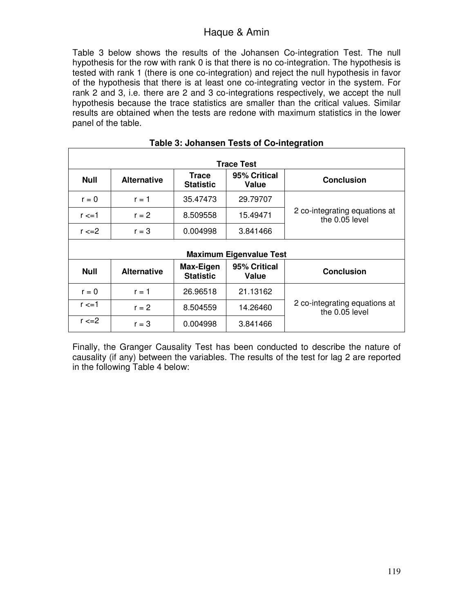Table 3 below shows the results of the Johansen Co-integration Test. The null hypothesis for the row with rank 0 is that there is no co-integration. The hypothesis is tested with rank 1 (there is one co-integration) and reject the null hypothesis in favor of the hypothesis that there is at least one co-integrating vector in the system. For rank 2 and 3, i.e. there are 2 and 3 co-integrations respectively, we accept the null hypothesis because the trace statistics are smaller than the critical values. Similar results are obtained when the tests are redone with maximum statistics in the lower panel of the table.

| <b>Trace Test</b>              |                    |                                  |                       |                                                 |  |
|--------------------------------|--------------------|----------------------------------|-----------------------|-------------------------------------------------|--|
| <b>Null</b>                    | <b>Alternative</b> | <b>Trace</b><br><b>Statistic</b> | 95% Critical<br>Value | <b>Conclusion</b>                               |  |
| $r = 0$                        | $r = 1$            | 35.47473                         | 29.79707              |                                                 |  |
| $r \leq -1$                    | $r = 2$            | 8.509558                         | 15.49471              | 2 co-integrating equations at<br>the 0.05 level |  |
| $r \leq 2$                     | $r = 3$            | 0.004998                         | 3.841466              |                                                 |  |
| <b>Maximum Eigenvalue Test</b> |                    |                                  |                       |                                                 |  |
| <b>Null</b>                    | <b>Alternative</b> | Max-Eigen<br><b>Statistic</b>    | 95% Critical<br>Value | <b>Conclusion</b>                               |  |
| $r = 0$                        | $r = 1$            | 26.96518                         | 21.13162              |                                                 |  |
| $r \leq 1$                     | $r = 2$            | 8.504559                         | 14.26460              | 2 co-integrating equations at<br>the 0.05 level |  |
| $r \leq 2$                     | $r = 3$            | 0.004998                         | 3.841466              |                                                 |  |

#### **Table 3: Johansen Tests of Co-integration**

Finally, the Granger Causality Test has been conducted to describe the nature of causality (if any) between the variables. The results of the test for lag 2 are reported in the following Table 4 below: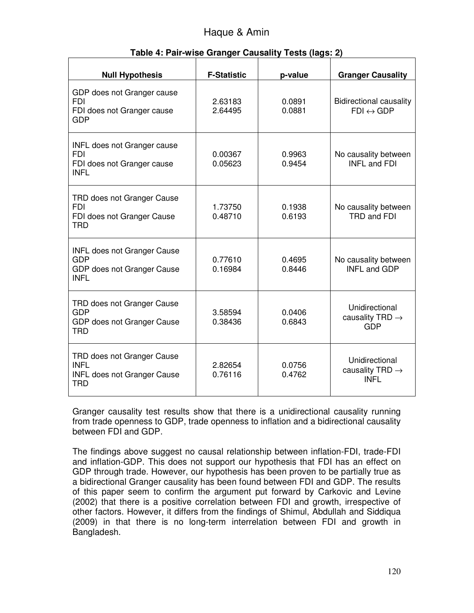| <b>Null Hypothesis</b>                                                                        | <b>F-Statistic</b> | p-value          | <b>Granger Causality</b>                                     |
|-----------------------------------------------------------------------------------------------|--------------------|------------------|--------------------------------------------------------------|
| GDP does not Granger cause<br><b>FDI</b><br>FDI does not Granger cause<br><b>GDP</b>          | 2.63183<br>2.64495 | 0.0891<br>0.0881 | <b>Bidirectional causality</b><br>$FDI \leftrightarrow GDP$  |
| <b>INFL does not Granger cause</b><br><b>FDI</b><br>FDI does not Granger cause<br><b>INFL</b> | 0.00367<br>0.05623 | 0.9963<br>0.9454 | No causality between<br><b>INFL and FDI</b>                  |
| TRD does not Granger Cause<br><b>FDI</b><br>FDI does not Granger Cause<br><b>TRD</b>          | 1.73750<br>0.48710 | 0.1938<br>0.6193 | No causality between<br>TRD and FDI                          |
| <b>INFL does not Granger Cause</b><br><b>GDP</b><br>GDP does not Granger Cause<br><b>INFL</b> | 0.77610<br>0.16984 | 0.4695<br>0.8446 | No causality between<br><b>INFL and GDP</b>                  |
| TRD does not Granger Cause<br><b>GDP</b><br>GDP does not Granger Cause<br><b>TRD</b>          | 3.58594<br>0.38436 | 0.0406<br>0.6843 | Unidirectional<br>causality TRD $\rightarrow$<br><b>GDP</b>  |
| TRD does not Granger Cause<br><b>INFL</b><br><b>INFL does not Granger Cause</b><br>TRD        | 2.82654<br>0.76116 | 0.0756<br>0.4762 | Unidirectional<br>causality TRD $\rightarrow$<br><b>INFL</b> |

#### **Table 4: Pair-wise Granger Causality Tests (lags: 2)**

Granger causality test results show that there is a unidirectional causality running from trade openness to GDP, trade openness to inflation and a bidirectional causality between FDI and GDP.

The findings above suggest no causal relationship between inflation-FDI, trade-FDI and inflation-GDP. This does not support our hypothesis that FDI has an effect on GDP through trade. However, our hypothesis has been proven to be partially true as a bidirectional Granger causality has been found between FDI and GDP. The results of this paper seem to confirm the argument put forward by Carkovic and Levine (2002) that there is a positive correlation between FDI and growth, irrespective of other factors. However, it differs from the findings of Shimul, Abdullah and Siddiqua (2009) in that there is no long-term interrelation between FDI and growth in Bangladesh.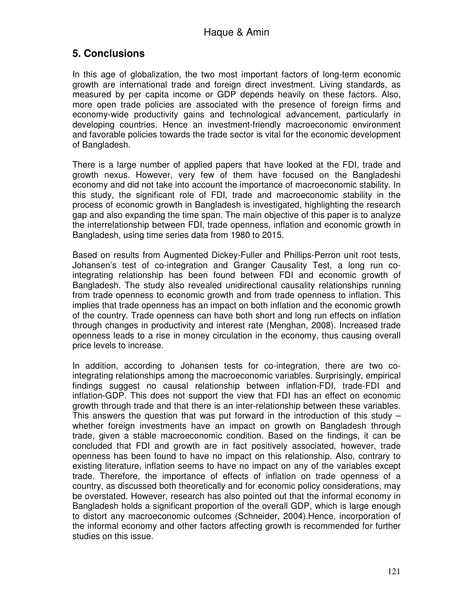# **5. Conclusions**

In this age of globalization, the two most important factors of long-term economic growth are international trade and foreign direct investment. Living standards, as measured by per capita income or GDP depends heavily on these factors. Also, more open trade policies are associated with the presence of foreign firms and economy-wide productivity gains and technological advancement, particularly in developing countries. Hence an investment-friendly macroeconomic environment and favorable policies towards the trade sector is vital for the economic development of Bangladesh.

There is a large number of applied papers that have looked at the FDI, trade and growth nexus. However, very few of them have focused on the Bangladeshi economy and did not take into account the importance of macroeconomic stability. In this study, the significant role of FDI, trade and macroeconomic stability in the process of economic growth in Bangladesh is investigated, highlighting the research gap and also expanding the time span. The main objective of this paper is to analyze the interrelationship between FDI, trade openness, inflation and economic growth in Bangladesh, using time series data from 1980 to 2015.

Based on results from Augmented Dickey-Fuller and Phillips-Perron unit root tests, Johansen's test of co-integration and Granger Causality Test, a long run cointegrating relationship has been found between FDI and economic growth of Bangladesh. The study also revealed unidirectional causality relationships running from trade openness to economic growth and from trade openness to inflation. This implies that trade openness has an impact on both inflation and the economic growth of the country. Trade openness can have both short and long run effects on inflation through changes in productivity and interest rate (Menghan, 2008). Increased trade openness leads to a rise in money circulation in the economy, thus causing overall price levels to increase.

In addition, according to Johansen tests for co-integration, there are two cointegrating relationships among the macroeconomic variables. Surprisingly, empirical findings suggest no causal relationship between inflation-FDI, trade-FDI and inflation-GDP. This does not support the view that FDI has an effect on economic growth through trade and that there is an inter-relationship between these variables. This answers the question that was put forward in the introduction of this study – whether foreign investments have an impact on growth on Bangladesh through trade, given a stable macroeconomic condition. Based on the findings, it can be concluded that FDI and growth are in fact positively associated, however, trade openness has been found to have no impact on this relationship. Also, contrary to existing literature, inflation seems to have no impact on any of the variables except trade. Therefore, the importance of effects of inflation on trade openness of a country, as discussed both theoretically and for economic policy considerations, may be overstated. However, research has also pointed out that the informal economy in Bangladesh holds a significant proportion of the overall GDP, which is large enough to distort any macroeconomic outcomes (Schneider, 2004).Hence, incorporation of the informal economy and other factors affecting growth is recommended for further studies on this issue.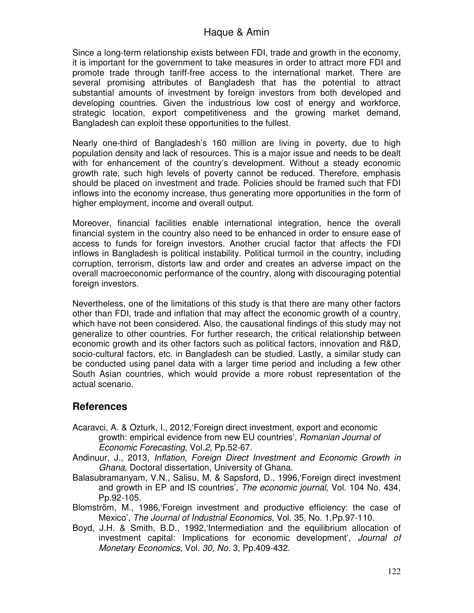Since a long-term relationship exists between FDI, trade and growth in the economy, it is important for the government to take measures in order to attract more FDI and promote trade through tariff-free access to the international market. There are several promising attributes of Bangladesh that has the potential to attract substantial amounts of investment by foreign investors from both developed and developing countries. Given the industrious low cost of energy and workforce, strategic location, export competitiveness and the growing market demand, Bangladesh can exploit these opportunities to the fullest.

Nearly one-third of Bangladesh's 160 million are living in poverty, due to high population density and lack of resources. This is a major issue and needs to be dealt with for enhancement of the country's development. Without a steady economic growth rate, such high levels of poverty cannot be reduced. Therefore, emphasis should be placed on investment and trade. Policies should be framed such that FDI inflows into the economy increase, thus generating more opportunities in the form of higher employment, income and overall output.

Moreover, financial facilities enable international integration, hence the overall financial system in the country also need to be enhanced in order to ensure ease of access to funds for foreign investors. Another crucial factor that affects the FDI inflows in Bangladesh is political instability. Political turmoil in the country, including corruption, terrorism, distorts law and order and creates an adverse impact on the overall macroeconomic performance of the country, along with discouraging potential foreign investors.

Nevertheless, one of the limitations of this study is that there are many other factors other than FDI, trade and inflation that may affect the economic growth of a country, which have not been considered. Also, the causational findings of this study may not generalize to other countries. For further research, the critical relationship between economic growth and its other factors such as political factors, innovation and R&D, socio-cultural factors, etc. in Bangladesh can be studied. Lastly, a similar study can be conducted using panel data with a larger time period and including a few other South Asian countries, which would provide a more robust representation of the actual scenario.

# **References**

- Acaravci, A. & Ozturk, I., 2012,'Foreign direct investment, export and economic growth: empirical evidence from new EU countries', *Romanian Journal of Economic Forecasting*, Vol.*2*, Pp.52-67.
- Andinuur, J., 2013, *Inflation, Foreign Direct Investment and Economic Growth in Ghana,* Doctoral dissertation, University of Ghana.
- Balasubramanyam, V.N., Salisu, M. & Sapsford, D., 1996,'Foreign direct investment and growth in EP and IS countries', *The economic journal*, Vol. 104 No. 434, Pp.92-105.
- Blomström, M., 1986,'Foreign investment and productive efficiency: the case of Mexico', *The Journal of Industrial Economics*, Vol. 35, No. 1,Pp.97-110.
- Boyd, J.H. & Smith, B.D., 1992,'Intermediation and the equilibrium allocation of investment capital: Implications for economic development', *Journal of Monetary Economics*, Vol. *30, No.* 3, Pp.409-432.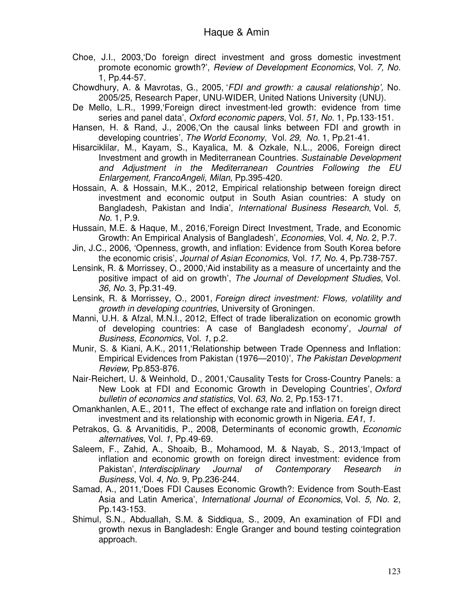- Choe, J.I., 2003,'Do foreign direct investment and gross domestic investment promote economic growth?', *Review of Development Economics*, Vol. *7, No.*  1, Pp.44-57.
- Chowdhury, A. & Mavrotas, G., 2005, '*FDI and growth: a causal relationship',* No. 2005/25, Research Paper, UNU-WIDER, United Nations University (UNU).
- De Mello, L.R., 1999,'Foreign direct investment-led growth: evidence from time series and panel data', *Oxford economic papers*, Vol. *51, No.* 1, Pp.133-151.
- Hansen, H. & Rand, J., 2006,'On the causal links between FDI and growth in developing countries', *The World Economy*, Vol. *29, No.* 1, Pp.21-41.
- Hisarciklilar, M., Kayam, S., Kayalica, M. & Ozkale, N.L., 2006, Foreign direct Investment and growth in Mediterranean Countries. *Sustainable Development and Adjustment in the Mediterranean Countries Following the EU Enlargement, FrancoAngeli, Milan*, Pp.395-420.
- Hossain, A. & Hossain, M.K., 2012, Empirical relationship between foreign direct investment and economic output in South Asian countries: A study on Bangladesh, Pakistan and India', *International Business Research*, Vol. *5, No.* 1, P.9.
- Hussain, M.E. & Haque, M., 2016,'Foreign Direct Investment, Trade, and Economic Growth: An Empirical Analysis of Bangladesh', *Economies*, Vol. *4, No.* 2, P.7.
- Jin, J.C., 2006, 'Openness, growth, and inflation: Evidence from South Korea before the economic crisis', *Journal of Asian Economics*, Vol. *17, No.* 4, Pp.738-757.
- Lensink, R. & Morrissey, O., 2000,'Aid instability as a measure of uncertainty and the positive impact of aid on growth', *The Journal of Development Studies*, Vol. *36, No.* 3, Pp.31-49.
- Lensink, R. & Morrissey, O., 2001, *Foreign direct investment: Flows, volatility and growth in developing countries*, University of Groningen.
- Manni, U.H. & Afzal, M.N.I., 2012, Effect of trade liberalization on economic growth of developing countries: A case of Bangladesh economy', *Journal of Business, Economics*, Vol. *1*, p.2.
- Munir, S. & Kiani, A.K., 2011,'Relationship between Trade Openness and Inflation: Empirical Evidences from Pakistan (1976—2010)', *The Pakistan Development Review*, Pp.853-876.
- Nair‐Reichert, U. & Weinhold, D., 2001,'Causality Tests for Cross‐Country Panels: a New Look at FDI and Economic Growth in Developing Countries', *Oxford bulletin of economics and statistics*, Vol. *63, No.* 2, Pp.153-171.
- Omankhanlen, A.E., 2011, The effect of exchange rate and inflation on foreign direct investment and its relationship with economic growth in Nigeria. *EA1*, *1*.
- Petrakos, G. & Arvanitidis, P., 2008, Determinants of economic growth, *Economic alternatives*, Vol. *1*, Pp.49-69.
- Saleem, F., Zahid, A., Shoaib, B., Mohamood, M. & Nayab, S., 2013,'Impact of inflation and economic growth on foreign direct investment: evidence from Pakistan', *Interdisciplinary Journal of Contemporary Research in Business*, Vol. *4, No.* 9, Pp.236-244.
- Samad, A., 2011,'Does FDI Causes Economic Growth?: Evidence from South-East Asia and Latin America', *International Journal of Economics*, Vol. *5, No.* 2, Pp.143-153.
- Shimul, S.N., Abduallah, S.M. & Siddiqua, S., 2009, An examination of FDI and growth nexus in Bangladesh: Engle Granger and bound testing cointegration approach.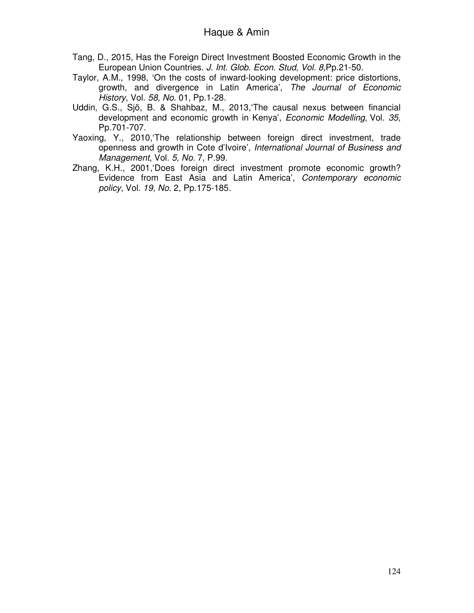- Tang, D., 2015, Has the Foreign Direct Investment Boosted Economic Growth in the European Union Countries*. J. Int. Glob. Econ. Stud, Vol. 8,*Pp.21-50.
- Taylor, A.M., 1998, 'On the costs of inward-looking development: price distortions, growth, and divergence in Latin America', *The Journal of Economic History*, Vol. *58, No.* 01, Pp.1-28.
- Uddin, G.S., Sjö, B. & Shahbaz, M., 2013,'The causal nexus between financial development and economic growth in Kenya', *Economic Modelling*, Vol. *35*, Pp.701-707.
- Yaoxing, Y., 2010,'The relationship between foreign direct investment, trade openness and growth in Cote d'Ivoire', *International Journal of Business and Management*, Vol. *5, No.* 7, P.99.
- Zhang, K.H., 2001,'Does foreign direct investment promote economic growth? Evidence from East Asia and Latin America', *Contemporary economic policy*, Vol. *19, No.* 2, Pp.175-185.